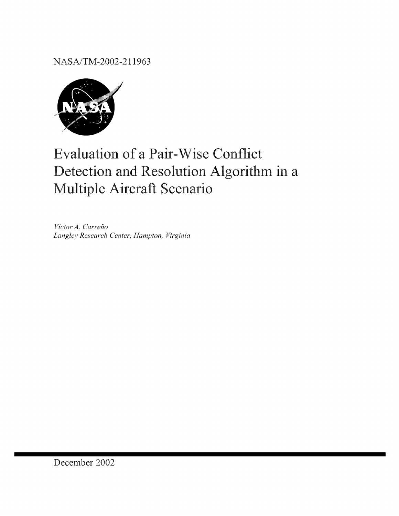NASA/TM-2002-211963



# **Evaluation of a Pair-Wise Conflict** Detection and Resolution Algorithm in a Multiple Aircraft Scenario

Victor A. Carreño Langley Research Center, Hampton, Virginia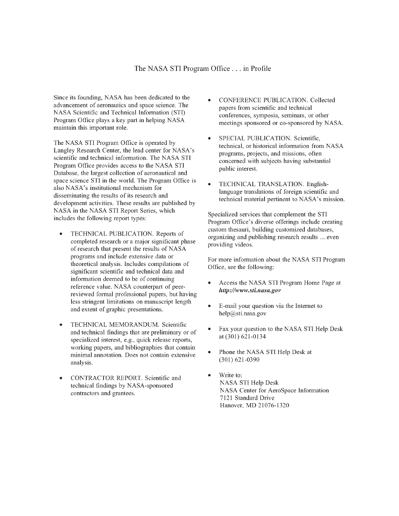#### The NASA STI Program Office... in Profile

Since its founding, NASA has been dedicated to the advancement of aeronautics and space science. The NASA Scientific and Technical Information (STI) Program Office plays a key part in helping NASA maintain this important role.

The NASA STI Program Office is operated by Langley Research Center, the lead center for NASA's scientific and technical information. The NASA STI Program Office provides access to the NASA STI Database, the largest collection of aeronautical and space science STI in the world. The Program Office is also NASA's institutional mechanism for disseminating the results of its research and development activities. These results are published by NASA in the NASA STI Report Series, which includes the following report types:

- TECHNICAL PUBLICATION. Reports of completed research or a major significant phase of research that present the results of NASA programs and include extensive data or theoretical analysis. Includes compilations of significant scientific and technical data and information deemed to be of continuing reference value. NASA counterpart of peerreviewed formal professional papers, but having less stringent limitations on manuscript length and extent of graphic presentations.
- TECHNICAL MEMORANDUM. Scientific and technical findings that are preliminary or of specialized interest, e.g., quick release reports, working papers, and bibliographies that contain minimal annotation. Does not contain extensive analysis.
- *CONTRACFOR* REPORT. Scientific and technical findings by NASA-sponsored contractors and grantees.
- *CONFERENCE* PUBLICATION. Collected papers from scientific and technical conferences, symposia, seminars, or other meetings sponsored or co-sponsored by NASA.
- SPECIAL PUBLICATION. Scientific, technical, or historical intbrmation from NASA programs, projects, and missions, often concerned with subjects having substanfial public interest.
- TECHNICAL TRANSLATION. Englishlanguage translations of foreign scientific and technical material pertinent to NASA's mission.

Specialized services that complement **the** STI Program Office's diverse offerings include creating custom thesauri, building customized databases, organizing and publishing research results ... even providing videos.

For more information about the NASA STI Program Office, see the following:

- ® Access **the** NASA STI Program Home Page at *http ://\_,w\_v.sti.nasa.go,,*
- E-mail your question via the Internet to help@sti.nasa.gov
- Fax your question to the NASA STI Help Desk at (301) 621-0134
- ® Phone the NASA STI Help Desk at (301) 621-0390
- Write to: NASA STI Help Desk NASA Center for AeroSpace Information 7121 Standard Drive Hanover, MD 21076-1320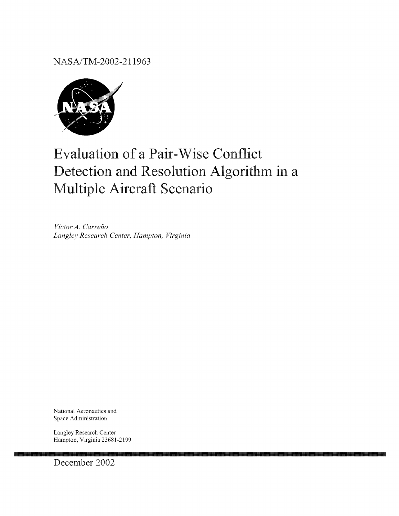NASA/TM-2002-211963



## **Evaluation of a Pair-Wise Conflict** Detection and Resolution Algorithm in a Multiple Aircraft Scenario

Victor A. Carreño Langley Research Center, Hampton, Virginia

National Aeronautics and Space Administration

Langley Research Center Hampton, Virginia 23681-2199

December 2002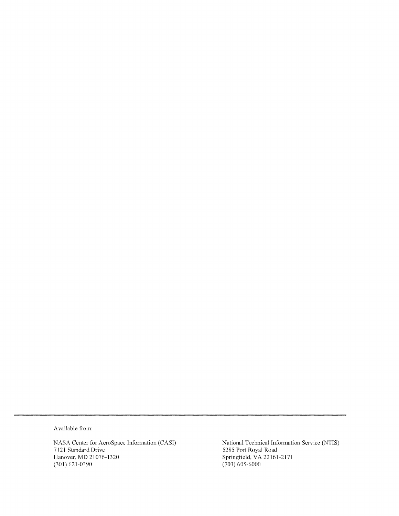Available from:

NASA Center for AeroSpace Information (CAS]) 7121 Standard Drive Hanover, MD 21076-1320 (301) 621-0390

National Technical Information Service (NTIS) 5285 Port Royal Road Springfield, VA 22161-2171  $(703)$  605-6000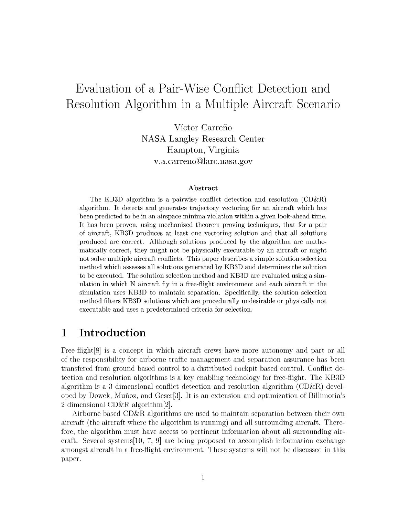## Evaluation of a Pair-Wise Conflict Detection and Resolution Algorithm in a Multiple Aircraft Scenario

Víctor Carreño NASA Langley Research Center Hampton, Virginia v.a.carreno@larc.nasa.gov

#### Abstract

The KB3D algorithm is a pairwise conflict detection and resolution (CD&R) algorithm. It detects and generates trajectory vectoring for an aircraft which has been predicted to be in an airspace minima violation within a given look-ahead time. It has been proven, using mechanized theorem proving techniques, that for a pair of aircraft, KB3D produces at least one vectoring solution and that all solutions produced are correct. Although solutions produced by the algorithm are mathematically correct, they might not be physically executable by an aircraft or might not solve multiple aircraft conflicts. This paper describes a simple solution selection method which assesses all solutions generated by KB3D and determines the solution to be executed. The solution selection method and KB3D are evaluated using a simulation in which N aircraft fly in a free-flight environment and each aircraft in the simulation uses KB3D to maintain separation. Specifically, the solution selection method filters KB3D solutions which are procedurally undesirable or physically not executable and uses a predetermined criteria for selection.

#### 1 Introduction

Free-flight[8] is a concept in which aircraft crews have more autonomy and part or all of the responsibility for airborne traffic management and separation assurance has been transfered from ground based control to a distributed cockpit based control. Conflict detection and resolution algorithms is a key enabling technology for free-flight. The KB3D algorithm is a 3 dimensional conflict detection and resolution algorithm (CD&R) developed by Dowek, Mufioz, and Geser[3]. It is an extension and optimization of Billimoria's 2 dimensional CD&R algorithm[2].

Airborne based CD&R algorithms are used to maintain separation between their own aircraft (the aircraft where the algorithm is running) and all surrounding aircraft,. Therefore, the algorithm must have access to pertinent information about all surrounding aircraft. Several systems [10, 7, 9] are being proposed to accomplish information exchange amongst aircraft in a free-flight environment. These systems will not be discussed in this paper.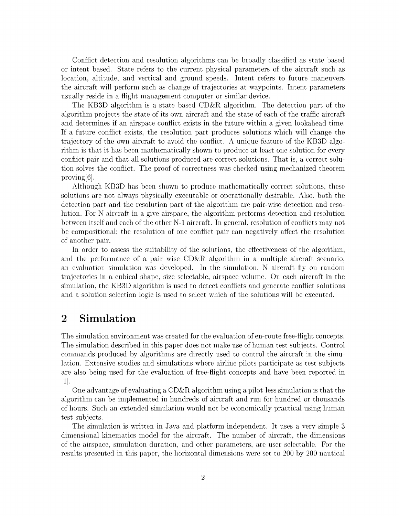Conflict detection and resolution algorithms can be broadly classified as state based or intent based. State refers to the current physical parameters of the aircraft such as location, altitude, and vertical and ground speeds. Intent refers to future maneuvers the aircraft will perform such as change of trajectories at waypoints. Intent parameters usually reside in a flight management computer or similar device.

The KB3D algorithm is a state based CD&R algorithm. The detection part of the algorithm projects the state of its own aircraft and the state of each of the traffic aircraft and determines if an airspace conflict exists in the future within a given lookahead time. If a future conflict exists, the resolution part produces solutions which will change the trajectory of the own aircraft to avoid the conflict. A unique feature of the KB3D algorithm is that it has been mathematically shown to produce at least one solution for every conflict pair and that all solutions produced are correct solutions. That is, a correct solution solves the conflict. The proof of correctness was checked using mechanized theorem proving[6].

Although KB3D has been shown to produce mathematically correct solutions, these solutions are not always physically executable or operationally desirable. Also, both the detection part and the resolution part of the algorithm are pair-wise detection and resolution. For N aircraft in a give airspace, the algorithm performs detection and resolution between itself and each of the other N-1 aircraft. In general, resolution of conflicts may not be compositional; the resolution of one conflict pair can negatively affect the resolution of another pair.

In order to assess the suitability of the solutions, the effectiveness of the algorithm, and the performance of a pair wise  $CD\&R$  algorithm in a multiple aircraft scenario, an evaluation simulation was developed. In the simulation, N aircraft fly on random trajectories in a cubical shape, size selectable, airspace volume. On each aircraft in the simulation, the KB3D algorithm is used to detect conflicts and generate conflict solutions and a solution selection logic is used to select which of the solutions will be executed.

## 2 Simulation

The simulation environment was created for the evaluation of en-route free-flight concepts. The simulation described in this paper does not make use of human test subjects. Control commands produced by algorithms are directly used to control the aircraft in the simulation. Extensive studies and simulations where airline pilots participate as test subjects are also being used for the evaluation of free-flight concepts and have been reported in [1].

One advantage of evaluating a  $CD\&R$  algorithm using a pilot-less simulation is that the algorithm can be implemented in hundreds of aircraft and run for hundred or thousands of hours. Such an extended simulation would not be economically practical using human test subjects.

The simulation is written in Java and platform independent. It uses a very simple 3 dimensional kinematics model for the aircraft. The number of aircraft, the dimensions of the airspace, simulation duration, and other parameters, are user selectable. For the results presented in this paper, the horizontal dimensions were set to 200 by 200 nautical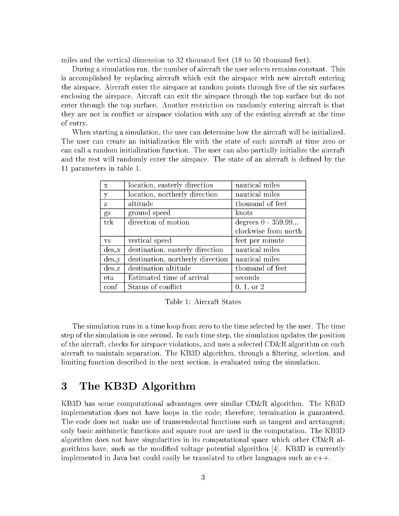miles and the vertical dimension to 32 thousand feet (18 to 50 thousand feet).

During a simulation run, the number of aircraft the user selects remains constant. This is accomplished by replacing aircraft which exit the airspace with new aircraft entering the airspace. Aircraft enter the airspace at random points through five of the six surfaces enclosing the airspace. Aircraft can exit the airspace through the top surface but do not enter through the top surface. Another restriction on randomly entering aircraft is that they are not in conflict or airspace violation with any of the existing aircraft at the time of entry.

When starting a simulation, the user can determine how the aircraft will be initialized. The user can create an initialization file with the state of each aircraft at time zero or can call a random initialization function. The user can also partially initialize the aircraft and the rest will randomly enter the airspace. The state of an aircraft is defined by the 11 parameters in table 1.

| $\overline{X}$               | location, easterly direction     | nautical miles       |
|------------------------------|----------------------------------|----------------------|
| y                            | location, northerly direction    | nautical miles       |
| Z.                           | altitude                         | thousand of feet     |
| gs                           | ground speed                     | knots                |
| trk                          | direction of motion              | degrees $0 - 359.99$ |
|                              |                                  | clockwise from north |
| VS                           | vertical speed                   | feet per minute      |
| $\mathrm{des}\,x$            | destination, easterly direction  | nautical miles       |
|                              |                                  |                      |
| $\mathrm{des}\_{\mathrm{y}}$ | destination, northerly direction | nautical miles       |
| $des_z$                      | destination altitude             | thousand of feet     |
| eta.                         | Estimated time of arrival        | seconds              |

Table 1: Aircraft States

The simulation runs in a time loop from zero to the time selected by the user. The time step of the simulation is one second. In each time step, the simulation updates the position of the aircraft, checks for airspace violations, and uses a selected  $CD\&R$  algorithm on each aircraft to maintain separation. The KB3D algorithm, through a filtering, selection, and limiting function described in the next section, is evaluated using the simulation.

#### 3 The KB3D Algorithm

KB3D has some computational advantages over similar CD&R algorithm. The KB3D implementation does not have loops in the code; therefore, termination is guaranteed. The code does not make use of transcendental functions such as tangent and arctangent; only basic arithmetic functions and square root are used in the computation. The KB3D algorithm does not have singularities in its computational space which other CD&R algorithms have, such as the modified voltage potential algorithm [4]. KB3D is currently implemented in Java but could easily be translated to other languages such as  $c++$ .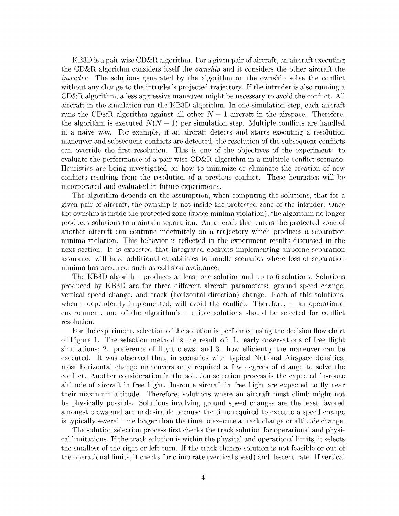KB3D is a pair-wise CD&R algorithm. For a given pair of aircraft, an aircraft executing the CD&R algorithm considers itself the *ownship* and it considers the other aircraft the *intruder.* The solutions generated by the algorithm on the ownship solve the conflict without any change to the intruder's projected trajectory. If the intruder is also running a CD&R algorithm, a less aggressive maneuver might be necessary to avoid the conflict. All aircraft in the simulation run the KB3D algorithm. In one simulation step, each aircraft runs the CD&R algorithm against all other  $N-1$  aircraft in the airspace. Therefore, the algorithm is executed  $N(N-1)$  per simulation step. Multiple conflicts are handled in a naive way. For example, if an aircraft detects and starts executing a resolution maneuver and subsequent conflicts are detected, the resolution of the subsequent conflicts can override the first resolution. This is one of the objectives of the experiment: to evaluate the performance of a pair-wise  $CD\&R$  algorithm in a multiple conflict scenario. Heuristics are being investigated on how to minimize or eliminate the creation of new conflicts resulting from the resolution of a previous conflict. These heuristics will be incorporated and evaluated in future experiments.

The algorithm depends on the assumption, when computing the solutions, that for a given pair of aircraft, the ownship is not inside the protected zone of the intruder. Once the ownship is inside the protected zone (space minima violation), the algorithm no longer produces solutions to maintain separation. An aircraft that enters the protected zone of another aircraft can continue indefinitely on a trajectory which produces a separation minima violation. This behavior is reflected in the experiment results discussed in the next section. It is expected that integrated cockpits implementing airborne separation assurance will have additional capabilities to handle scenarios where loss of separation minima has occurred, such as collision avoidance.

The KB3D algorithm produces at least one solution and up to 6 solutions. Solutions produced by KB3D are for three different aircraft parameters: ground speed change, vertical speed change, and track (horizontal direction) change. Each of this solutions, when independently implemented, will avoid the conflict. Therefore, in an operational environment, one of the algorithm's multiple solutions should be selected for conflict resolution.

For the experiment, selection of the solution is performed using the decision flow chart of Figure 1. The selection method is the result of: 1. early observations of free flight simulations: 2. preference of flight crews; and 3. how efficiently the maneuver can be executed. It was observed that, in scenarios with typical National Airspace densities, most horizontal change maneuvers only required a few degrees of change to solve the conflict. Another consideration in the solution selection process is the expected in-route altitude of aircraft in free flight. In-route aircraft in free flight are expected to fly near their maximum altitude. Therefore, solutions where an aircraft must climb might not be physically possible. Solutions involving ground speed changes are the least favored amongst crews and are undesirable because the time required to execute a speed change is typically several time longer than the time to execute a track change or altitude change.

The solution selection process first checks the track solution for operational and physical limitations. If the track solution is within the physical and operational limits, it selects the smallest of the right or left turn. If the track change solution is not feasible or out of the operational limits, it checks for climb rate (vertical speed) and descent rate. If vertical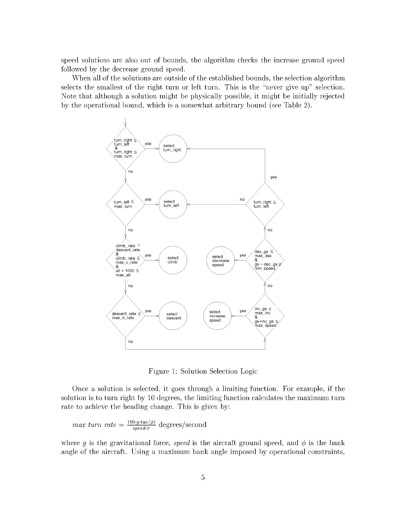speed solutions are also out of bounds, the algorithm checks the increase ground speed followed by the decrease ground speed.

When all of the solutions are outside of the established bounds, the selection algorithm selects the smallest of the right turn or left turn. This is the "never give up" selection. Note that although a solution might be physically possible, it might be initially rejected by the operational bound, which is a somewhat arbitrary bound (see Table 2).



Figure 1: Solution Selection Logic

Once a solution is selected, it goes through a limiting function. For example, if the solution is to turn right by 10 degrees, the limiting function calculates the maximum turn rate to achieve the heading change. This is given by:

$$
max \ turn \ rate = \frac{180 \cdot g \cdot \tan(\phi)}{speed \cdot \pi} \ degrees/second
$$

where g is the gravitational force, speed is the aircraft ground speed, and  $\phi$  is the bank angle of the aircraft. Using a maximum bank angle imposed by operational constraints,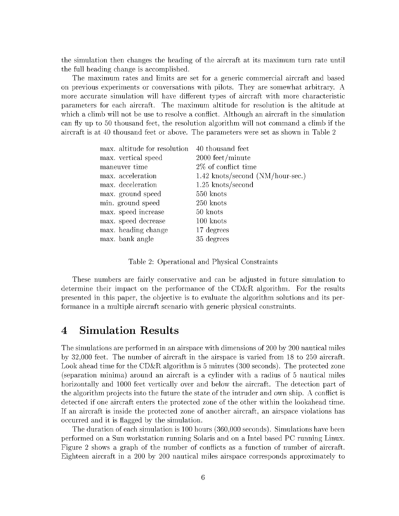the simulation then changes the heading of the aircraft at its maximum turn rate until the full heading change is accomplished.

The maximum rates and limits are set for a generic commercial aircraft and based on previous experiments or conversations with pilots. They are somewhat arbitrary. A more accurate simulation will have different types of aircraft with more characteristic parameters for each aircraft. The maximum altitude for resolution is the altitude at which a climb will not be use to resolve a conflict. Although an aircraft in the simulation can fly up to 50 thousand feet, the resolution algorithm will not command a climb if the aircraft is at 40 thousand feet or above. The parameters were set as shown in Table 2

| max. altitude for resolution | 40 thousand feet                   |
|------------------------------|------------------------------------|
| max. vertical speed          | 2000 feet/minute                   |
| maneuver time                | 2\% of conflict time               |
| max. acceleration            | $1.42$ knots/second (NM/hour-sec.) |
| max. deceleration            | $1.25$ knots/second                |
| max. ground speed            | 550 knots                          |
| min. ground speed            | 250 knots                          |
| max. speed increase          | 50 knots                           |
| max. speed decrease          | 100 knots                          |
| max. heading change          | 17 degrees                         |
| max. bank angle              | 35 degrees                         |

Table 2: Operational and Physical Constraints

These numbers are fairly conservative and can be adjusted in future simulation to determine their impact on the performance of the CD&R algorithm. For the results presented in this paper, the objective is to evaluate the algorithm solutions and its performance in a multiple aircraft scenario with generic physical constraints.

#### 4 Simulation Results

The simulations are performed in an airspace with dimensions of 200 by 200 nautical miles by 32,000 feet. The number of aircraft in the airspace is varied from 18 to 250 aircraft. Look ahead time for the CD&R algorithm is 5 minutes (300 seconds). The protected zone (separation minima) around an aircraft is a cylinder with a radius of 5 nautical miles horizontally and 1000 feet vertically over and below the aircraft. The detection part of the algorithm projects into the future the state of the intruder and own ship. A conflict is detected if one aircraft enters the protected zone of the other within the lookahead time. If an aircraft is inside the protected zone of another aircraft, an airspace violations has occurred and it is flagged by the simulation.

The duration of each simulation is 100 hours (360,000 seconds). Simulations have been pertbrmed on a Sun workstation running Solaris and on a Intel based PC running Linux. Figure 2 shows a graph of the number of conflicts as a function of number of aircraft. Eighteen aircraft in a 200 by 200 nautical miles airspace corresponds approximately to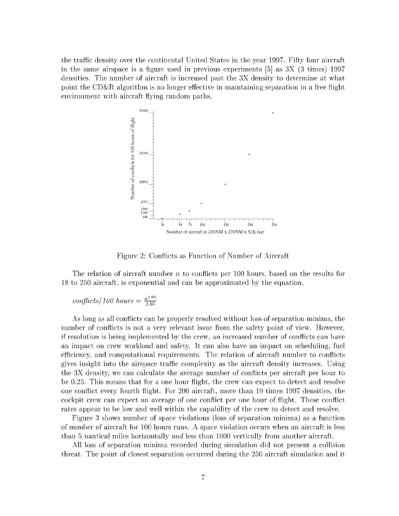the traffic density over the continental United States in the year 1997. Fifty four aircraft in the same airspace is a figure used in previous experiments [5] as  $3X$  (3 times) 1997 densities. The number of aircraft is increased past the 3X density to determine at what point the CD&R algorithm is no longer effective in maintaining separation in a free flight environment with aircraft flying random paths.



Figure 2: Conflicts as Function of Number of Aircraft

The relation of aircraft number  $n$  to conflicts per 100 hours, based on the results for 18 to 250 aircraft, is exponential and can be approximated by the equation,

conflicts/100 hours = 
$$
\frac{n^{2.06}}{2.65}
$$

As long as all conflicts can be properly resolved without loss of separation minima, the number of conflicts is not a very relevant issue from the safety point of view. However, if resolution is being implemented by the crew, an increased number of conflicts can have an impact on crew workload and safety. It can also have an impact on scheduling, fuel efficiency, and computational requirements. The relation of aircraft number to conflicts gives insight into the airspace traffic complexity as the aircraft density increases. Using the 3X density, we can calculate the average number of conflicts per aircraft per hour to be 0.25. This means that for a one hour flight, the crew can expect to detect and resolve one conflict every tburth flight. For 200 aircraft, more than 10 times 1997 densities, the cockpit crew can expect an average of one conflict per one hour of flight. These conflict rates appear to be low and well within the capability of the crew to detect and resolve.

Figure 3 shows number of space violations (loss of separation minima) as a thnction of number of aircraft for 100 hours runs. A space violation occurs when an aircraft is less than 5 nautical miles horizontally *and* less than 1000 vertically from another aircraft.

All loss of separation minima recorded during simulation did not present a collision threat. The point of closest separation occurred during the 250 aircraft simulation and it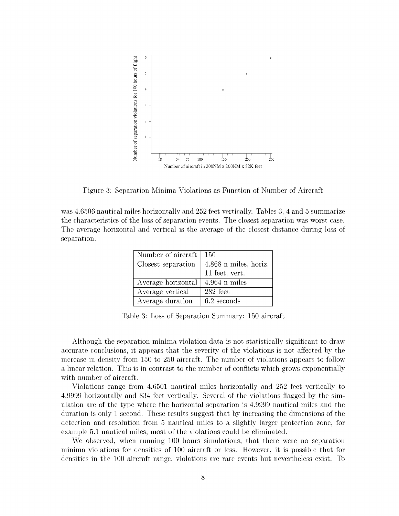

Figure 3: Separation Minima Violations as Function of Number of Aircraft

was 4.6506 nautical miles horizontally and 252 feet vertically. Tables 3, 4 and 5 summarize the characteristics of the loss of separation events. The closest separation was worst case. The average horizontal and vertical is the average of the closest distance during loss of separation.

| Number of aircraft | 150                     |
|--------------------|-------------------------|
| Closest separation | $4.868$ n miles, horiz. |
|                    | 11 feet, vert.          |
| Average horizontal | $4.964$ n miles         |
| Average vertical   | 282 feet                |
| Average duration   | 6.2 seconds             |

Table 3: Loss of Separation Summary: 150 aircraft

Although the separation minima violation data is not statistically significant to draw accurate conclusions, it appears that the severity of the violations is not affected by the increase in density from 150 to 250 aircraft. The number of violations appears to follow a linear relation. This is in contrast to the number of conflicts which grows exponentially with number of aircraft.

Violations range from 4.6501 nautical miles horizontally and 252 feet vertically to 4.9999 horizontally and 834 feet vertically. Several of the violations flagged by the simulation are of the type where the horizontal separation is 4.9999 nautical miles and the duration is only 1 second. These results suggest that by increasing the dimensions of the detection and resolution from 5 nautical miles to a slightly larger protection zone, for example 5.1 nautical miles, most of the violations could be eliminated.

We observed, when running 100 hours simulations, that there were no separation minima violations for densities of 100 aircraft or less. However, it is possible that for densities in the 100 aircraft range, violations are rare events but nevertheless exist. To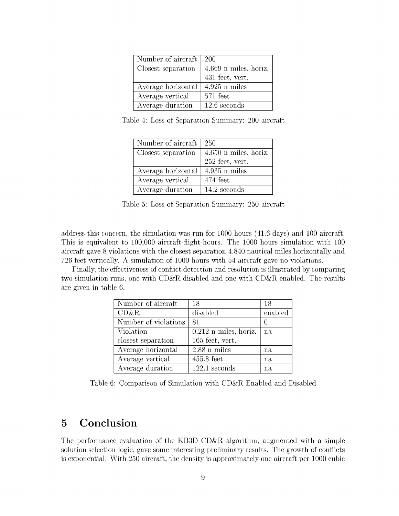| Number of aircraft | 200                   |
|--------------------|-----------------------|
| Closest separation | 4.669 n miles, horiz. |
|                    | 431 feet, vert.       |
| Average horizontal | $4.925$ n miles       |
| Average vertical   | 571 feet              |
| Average duration   | $12.6$ seconds        |

Table 4: Loss of Separation Summary: 200 aircraft

| Number of aircraft | 250                     |
|--------------------|-------------------------|
| Closest separation | $4.650$ n miles, horiz. |
|                    | 252 feet, vert.         |
| Average horizontal | $4.935$ n miles         |
| Average vertical   | 474 feet                |
| Average duration   | 14.2 seconds            |

Table 5: Loss of Separation Summary: 250 aircraft

address this concern, the simulation was run for  $1000$  hours (41.6 days) and 100 aircraft. This is equivalent to  $100,000$  aircraft-flight-hours. The 1000 hours simulation with 100 aircraft gave 8 violations with the closest separation 4.840 nautical miles horizontally and 726 feet vertically. A simulation of 1000 hours with 54 aircraft gave no violations.

Finally, the effectiveness of conflict detection and resolution is illustrated by comparing two simulation runs, one with  $CD\&R$  disabled and one with  $CD\&R$  enabled. The results are given in table 6.

| Number of aircraft   | 18                      | 18      |
|----------------------|-------------------------|---------|
| CD&R                 | disabled                | enabled |
| Number of violations | 81                      |         |
| Violation            | $0.212$ n miles, horiz. | na      |
| closest separation   | 165 feet, vert.         |         |
| Average horizontal   | $2.88$ n miles          | na      |
| Average vertical     | $455.8$ feet            | na      |
| Average duration     | $122.1$ seconds         | na      |

Table 6: Comparison of Simulation with CD&R Enabled and Disabled

## 5 Conclusion

The performance evaluation of the KB3D CD&R algorithm, augmented with a simple solution selection logic, gave some interesting preliminary results. The growth of conflicts is exponential. With 250 aircraft, the density is approximately one aircraft per 1000 cubic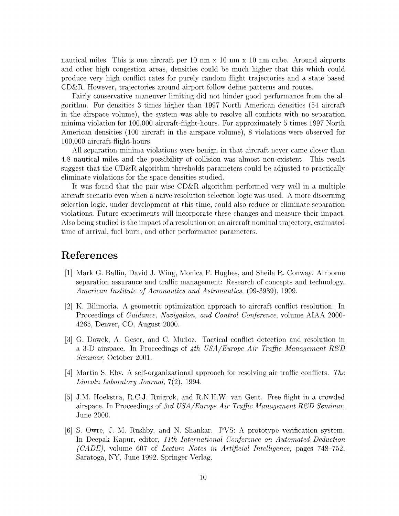nautical miles. This is one aircraft per 10 nm x 10 nm x 10 nm cube. Around airports and other high congestion areas, densities could be much higher that this which could produce very high conflict rates for purely random flight trajectories and a state based  $CD\&R$ . However, trajectories around airport follow define patterns and routes.

Fairly conservative maneuver limiting did not hinder good performance from the algorithm. For densities 3 times higher than 1997 North American densities (54 aircraft in the airspace volume), the system was able to resolve all conflicts with no separation minima violation for 100,000 aircraft-flight-hours. For approximately 5 times 1997 North American densities (100 aircraft in the airspace volume), 8 violations were observed for 100,000aircraft-flight-hours.

All separation minima violations were benign in that aircraft never came closer than 4.8 nautical miles and the possibility of collision was almost non-existent. This result suggest that the CD&R algorithm thresholds parameters could be adjusted to practically eliminate violations for the space densities studied.

It was found that the pair-wise CD&R algorithm performed very well in a multiple aircraft scenario even when a naive resolution selection logic was used. A more discerning selection logic, under development at this time, could also reduce or eliminate separation violations. Future experiments will incorporate these changes and measure their impact. Also being studied is the impact of a resolution on an aircraft nominal trajectory, estimated time of arrival, fuel burn, and other performance parameters.

## References

- [1] Mark G. Ballin, David J. Wing, Monica F. Hughes, and Sheila R. Conway. Airbor separation assurance and traffic management: Research of concepts and technology. *American Institute of Aeronautics and Astronautics,* (99-3989), 1999.
- [2] K. Bilimoria. A geometric optimization approach to aircraft conflict resolution. In Proceedings of *Guidance, Navigation, and Control Conference*, volume AIAA 2000-4265, Denver, CO, August 2000.
- [3] G. Dowek, A. Geser, and C. Mufioz. Tactical conflict detection and resolution in a 3-D airspace. In Proceedings of  $4th$  *USA/Europe Air Traffic Management*  $R\&D$ Seminar, October 2001.
- [4] Martin S. Eby. A self-organizational approach for resolving air traffic conflicts. *The Lincoln Laboratory Journal,* 7(2), 1994.
- J.M. Hoekstra, R.C.J. Ruigrok, and R.N.H.W. van Gent. Free flight in a crowded airspace. In Proceedings of *3rd USA/Europe Air TraJfic Management R\_gD Seminar,* June 2000.
- [6] S. Owre, J. M. Rushby, and N. Shankar. PVS: <sup>A</sup> prototype verification system. In Deepak Kapur, editor, *llth I'aternational Conference on Automated Deduction (CADE),* volume 607 of *Lecture Notes in Artificial Intelligence,* pages *748* 752, Saratoga, NY, June 1992. Springer-Verlag.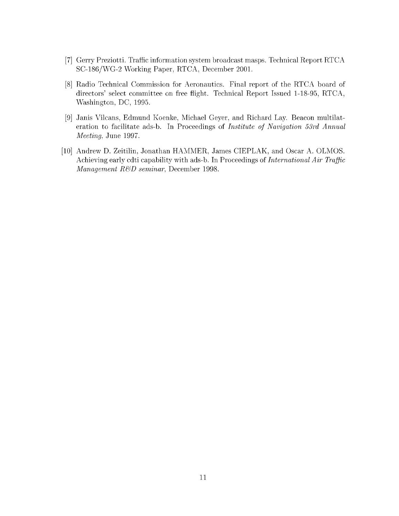- [7] Gerry Preziotti. Traffic information system broadcast masps. Technical Report RTC SC-186/WG-2 Working Paper, RTCA, December 2001.
- [8] Radio Technical Commission for Aeronautics. Final report of the RTCA board of directors' select committee on free flight. Technical Report Issued 1-18-95, RTCA, Washington, DC, 1995.
- [9] Janis Vilcans, Edmund Koenke, Michael Geyer, and Richard Lay. Beacon multilational eration to facilitate ads-b. In Proceedings of *Institute of Navigation 53rd Annual Meeting,* June 1997.
- [10] Andrew D. Zeitilin, Jonathan HAMMER, James CIEPLAK, and Oscar A. OLMO Achieving early cdti capability with ads-b. In Proceedings of *International Air Traffic Management R&D seminar*, December 1998.